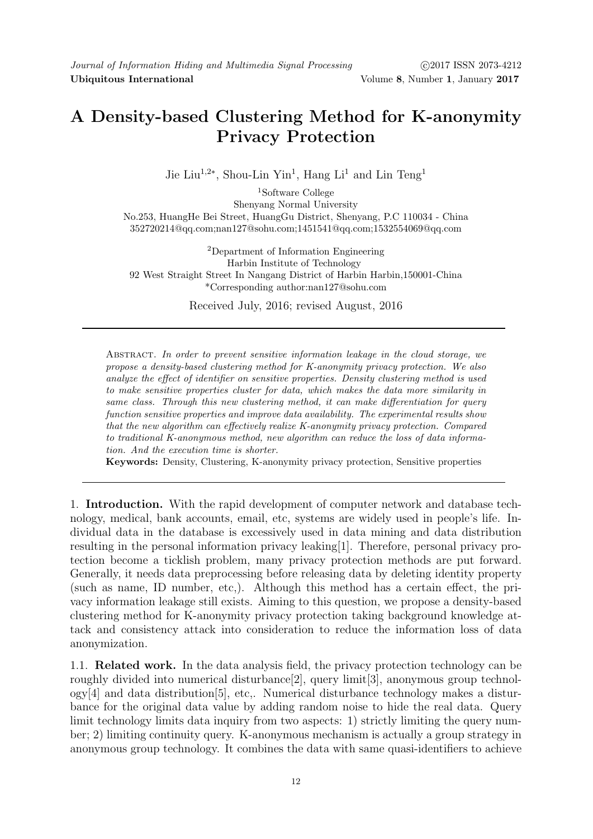## A Density-based Clustering Method for K-anonymity Privacy Protection

Jie Liu<sup>1,2∗</sup>, Shou-Lin Yin<sup>1</sup>, Hang Li<sup>1</sup> and Lin Teng<sup>1</sup>

<sup>1</sup>Software College Shenyang Normal University No.253, HuangHe Bei Street, HuangGu District, Shenyang, P.C 110034 - China 352720214@qq.com;nan127@sohu.com;1451541@qq.com;1532554069@qq.com

<sup>2</sup>Department of Information Engineering Harbin Institute of Technology 92 West Straight Street In Nangang District of Harbin Harbin,150001-China \*Corresponding author:nan127@sohu.com

Received July, 2016; revised August, 2016

Abstract. In order to prevent sensitive information leakage in the cloud storage, we propose a density-based clustering method for K-anonymity privacy protection. We also analyze the effect of identifier on sensitive properties. Density clustering method is used to make sensitive properties cluster for data, which makes the data more similarity in same class. Through this new clustering method, it can make differentiation for query function sensitive properties and improve data availability. The experimental results show that the new algorithm can effectively realize K-anonymity privacy protection. Compared to traditional K-anonymous method, new algorithm can reduce the loss of data information. And the execution time is shorter.

Keywords: Density, Clustering, K-anonymity privacy protection, Sensitive properties

1. Introduction. With the rapid development of computer network and database technology, medical, bank accounts, email, etc, systems are widely used in people's life. Individual data in the database is excessively used in data mining and data distribution resulting in the personal information privacy leaking[1]. Therefore, personal privacy protection become a ticklish problem, many privacy protection methods are put forward. Generally, it needs data preprocessing before releasing data by deleting identity property (such as name, ID number, etc,). Although this method has a certain effect, the privacy information leakage still exists. Aiming to this question, we propose a density-based clustering method for K-anonymity privacy protection taking background knowledge attack and consistency attack into consideration to reduce the information loss of data anonymization.

1.1. Related work. In the data analysis field, the privacy protection technology can be roughly divided into numerical disturbance[2], query limit[3], anonymous group technology[4] and data distribution[5], etc,. Numerical disturbance technology makes a disturbance for the original data value by adding random noise to hide the real data. Query limit technology limits data inquiry from two aspects: 1) strictly limiting the query number; 2) limiting continuity query. K-anonymous mechanism is actually a group strategy in anonymous group technology. It combines the data with same quasi-identifiers to achieve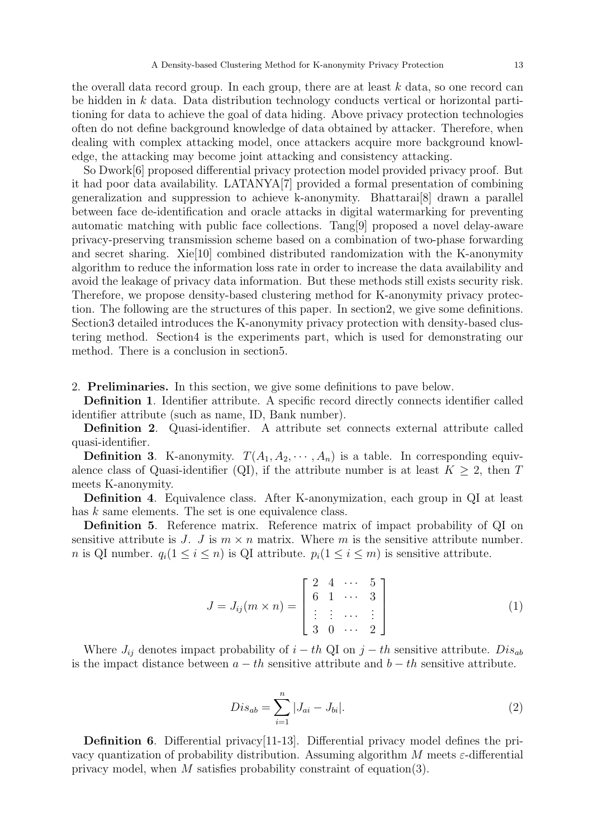the overall data record group. In each group, there are at least  $k$  data, so one record can be hidden in k data. Data distribution technology conducts vertical or horizontal partitioning for data to achieve the goal of data hiding. Above privacy protection technologies often do not define background knowledge of data obtained by attacker. Therefore, when dealing with complex attacking model, once attackers acquire more background knowledge, the attacking may become joint attacking and consistency attacking.

So Dwork[6] proposed differential privacy protection model provided privacy proof. But it had poor data availability. LATANYA[7] provided a formal presentation of combining generalization and suppression to achieve k-anonymity. Bhattarai[8] drawn a parallel between face de-identification and oracle attacks in digital watermarking for preventing automatic matching with public face collections. Tang[9] proposed a novel delay-aware privacy-preserving transmission scheme based on a combination of two-phase forwarding and secret sharing. Xie[10] combined distributed randomization with the K-anonymity algorithm to reduce the information loss rate in order to increase the data availability and avoid the leakage of privacy data information. But these methods still exists security risk. Therefore, we propose density-based clustering method for K-anonymity privacy protection. The following are the structures of this paper. In section2, we give some definitions. Section3 detailed introduces the K-anonymity privacy protection with density-based clustering method. Section4 is the experiments part, which is used for demonstrating our method. There is a conclusion in section5.

2. Preliminaries. In this section, we give some definitions to pave below.

Definition 1. Identifier attribute. A specific record directly connects identifier called identifier attribute (such as name, ID, Bank number).

Definition 2. Quasi-identifier. A attribute set connects external attribute called quasi-identifier.

**Definition 3.** K-anonymity.  $T(A_1, A_2, \dots, A_n)$  is a table. In corresponding equivalence class of Quasi-identifier (QI), if the attribute number is at least  $K \geq 2$ , then T meets K-anonymity.

Definition 4. Equivalence class. After K-anonymization, each group in QI at least has k same elements. The set is one equivalence class.

Definition 5. Reference matrix. Reference matrix of impact probability of QI on sensitive attribute is J. J is  $m \times n$  matrix. Where m is the sensitive attribute number. n is QI number.  $q_i(1 \leq i \leq n)$  is QI attribute.  $p_i(1 \leq i \leq m)$  is sensitive attribute.

$$
J = J_{ij}(m \times n) = \begin{bmatrix} 2 & 4 & \cdots & 5 \\ 6 & 1 & \cdots & 3 \\ \vdots & \vdots & \cdots & \vdots \\ 3 & 0 & \cdots & 2 \end{bmatrix}
$$
 (1)

Where  $J_{ij}$  denotes impact probability of  $i - th$  QI on  $j - th$  sensitive attribute.  $Dis_{ab}$ is the impact distance between  $a - th$  sensitive attribute and  $b - th$  sensitive attribute.

$$
Dis_{ab} = \sum_{i=1}^{n} |J_{ai} - J_{bi}|.
$$
 (2)

Definition 6. Differential privacy[11-13]. Differential privacy model defines the privacy quantization of probability distribution. Assuming algorithm M meets  $\varepsilon$ -differential privacy model, when M satisfies probability constraint of equation(3).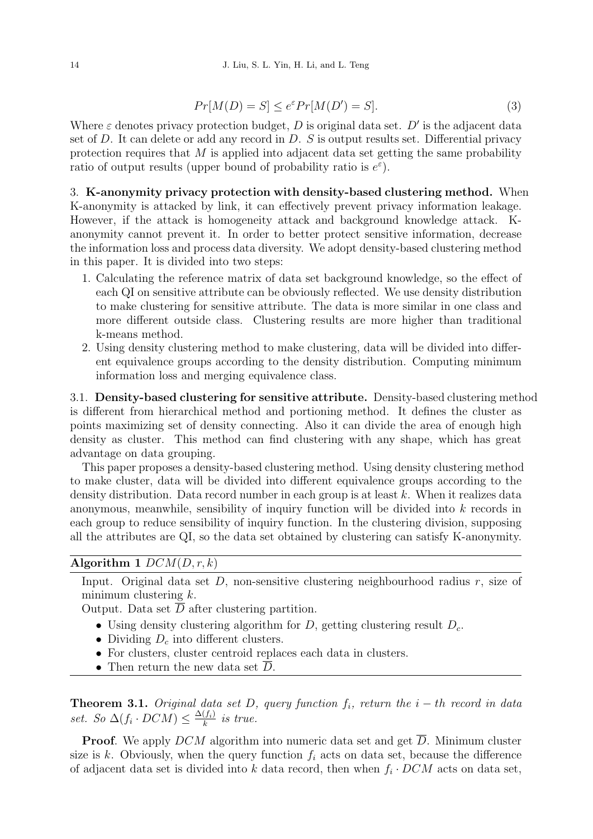$$
Pr[M(D) = S] \le e^{\varepsilon} Pr[M(D') = S]. \tag{3}
$$

Where  $\varepsilon$  denotes privacy protection budget, D is original data set. D' is the adjacent data set of D. It can delete or add any record in  $D$ . S is output results set. Differential privacy protection requires that  $M$  is applied into adjacent data set getting the same probability ratio of output results (upper bound of probability ratio is  $e^{\varepsilon}$ ).

3. K-anonymity privacy protection with density-based clustering method. When K-anonymity is attacked by link, it can effectively prevent privacy information leakage. However, if the attack is homogeneity attack and background knowledge attack. Kanonymity cannot prevent it. In order to better protect sensitive information, decrease the information loss and process data diversity. We adopt density-based clustering method in this paper. It is divided into two steps:

- 1. Calculating the reference matrix of data set background knowledge, so the effect of each QI on sensitive attribute can be obviously reflected. We use density distribution to make clustering for sensitive attribute. The data is more similar in one class and more different outside class. Clustering results are more higher than traditional k-means method.
- 2. Using density clustering method to make clustering, data will be divided into different equivalence groups according to the density distribution. Computing minimum information loss and merging equivalence class.

3.1. Density-based clustering for sensitive attribute. Density-based clustering method is different from hierarchical method and portioning method. It defines the cluster as points maximizing set of density connecting. Also it can divide the area of enough high density as cluster. This method can find clustering with any shape, which has great advantage on data grouping.

This paper proposes a density-based clustering method. Using density clustering method to make cluster, data will be divided into different equivalence groups according to the density distribution. Data record number in each group is at least k. When it realizes data anonymous, meanwhile, sensibility of inquiry function will be divided into k records in each group to reduce sensibility of inquiry function. In the clustering division, supposing all the attributes are QI, so the data set obtained by clustering can satisfy K-anonymity.

## Algorithm 1  $DCM(D, r, k)$

Input. Original data set  $D$ , non-sensitive clustering neighbourhood radius  $r$ , size of minimum clustering  $k$ .

Output. Data set  $\overline{D}$  after clustering partition.

- Using density clustering algorithm for D, getting clustering result  $D_c$ .
- Dividing  $D_c$  into different clusters.
- For clusters, cluster centroid replaces each data in clusters.
- Then return the new data set  $D$ .

**Theorem 3.1.** Original data set D, query function  $f_i$ , return the  $i - th$  record in data set. So  $\Delta(f_i \cdot DCM) \leq \frac{\Delta(f_i)}{k}$  $\frac{(f_i)}{k}$  is true.

**Proof.** We apply  $DCM$  algorithm into numeric data set and get D. Minimum cluster size is k. Obviously, when the query function  $f_i$  acts on data set, because the difference of adjacent data set is divided into k data record, then when  $f_i \cdot DCM$  acts on data set,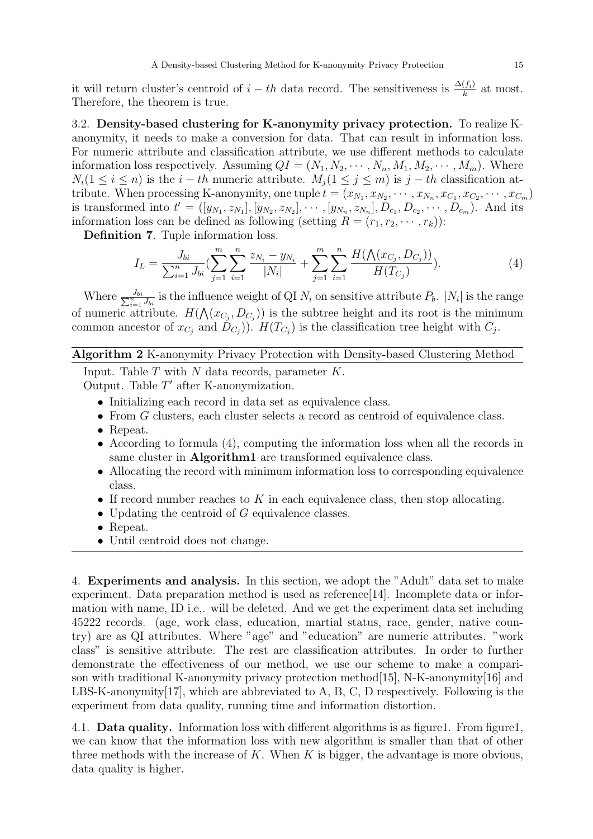it will return cluster's centroid of  $i - th$  data record. The sensitiveness is  $\frac{\Delta(f_i)}{k}$  at most. Therefore, the theorem is true.

3.2. Density-based clustering for K-anonymity privacy protection. To realize Kanonymity, it needs to make a conversion for data. That can result in information loss. For numeric attribute and classification attribute, we use different methods to calculate information loss respectively. Assuming  $QI = (N_1, N_2, \cdots, N_n, M_1, M_2, \cdots, M_m)$ . Where  $N_i(1 \leq i \leq n)$  is the  $i-th$  numeric attribute.  $M_i(1 \leq j \leq m)$  is  $j-th$  classification attribute. When processing K-anonymity, one tuple  $t = (x_{N_1}, x_{N_2}, \dots, x_{N_n}, x_{C_1}, x_{C_2}, \dots, x_{C_m})$ is transformed into  $t' = ([y_{N_1}, z_{N_1}], [y_{N_2}, z_{N_2}], \cdots, [y_{N_n}, z_{N_n}], D_{c_1}, D_{c_2}, \cdots, D_{c_m}).$  And its information loss can be defined as following (setting  $R = (r_1, r_2, \dots, r_k)$ ):

Definition 7. Tuple information loss.

$$
I_L = \frac{J_{bi}}{\sum_{i=1}^n J_{bi}} \left( \sum_{j=1}^m \sum_{i=1}^n \frac{z_{N_i} - y_{N_i}}{|N_i|} + \sum_{j=1}^m \sum_{i=1}^n \frac{H(\Lambda(x_{C_j}, D_{C_j}))}{H(T_{C_j})} \right).
$$
(4)

Where  $\frac{J_{bi}}{\sum_{i=1}^{n} J_{bi}}$  is the influence weight of QI  $N_i$  on sensitive attribute  $P_b$ .  $|N_i|$  is the range of numeric attribute.  $H(\mathcal{N}(x_{C_j}, D_{C_j}))$  is the subtree height and its root is the minimum common ancestor of  $x_{C_j}$  and  $D_{C_j}$ ).  $H(T_{C_j})$  is the classification tree height with  $C_j$ .

## Algorithm 2 K-anonymity Privacy Protection with Density-based Clustering Method

Input. Table  $T$  with  $N$  data records, parameter  $K$ . Output. Table  $T'$  after K-anonymization.

- Initializing each record in data set as equivalence class.
- From G clusters, each cluster selects a record as centroid of equivalence class.
- Repeat.
- According to formula (4), computing the information loss when all the records in same cluster in **Algorithm1** are transformed equivalence class.
- Allocating the record with minimum information loss to corresponding equivalence class.
- If record number reaches to  $K$  in each equivalence class, then stop allocating.
- Updating the centroid of  $G$  equivalence classes.
- Repeat.
- Until centroid does not change.

4. Experiments and analysis. In this section, we adopt the "Adult" data set to make experiment. Data preparation method is used as reference [14]. Incomplete data or information with name, ID i.e,. will be deleted. And we get the experiment data set including 45222 records. (age, work class, education, martial status, race, gender, native country) are as QI attributes. Where "age" and "education" are numeric attributes. "work class" is sensitive attribute. The rest are classification attributes. In order to further demonstrate the effectiveness of our method, we use our scheme to make a comparison with traditional K-anonymity privacy protection method[15], N-K-anonymity[16] and LBS-K-anonymity $[17]$ , which are abbreviated to A, B, C, D respectively. Following is the experiment from data quality, running time and information distortion.

4.1. Data quality. Information loss with different algorithms is as figure1. From figure1, we can know that the information loss with new algorithm is smaller than that of other three methods with the increase of  $K$ . When  $K$  is bigger, the advantage is more obvious, data quality is higher.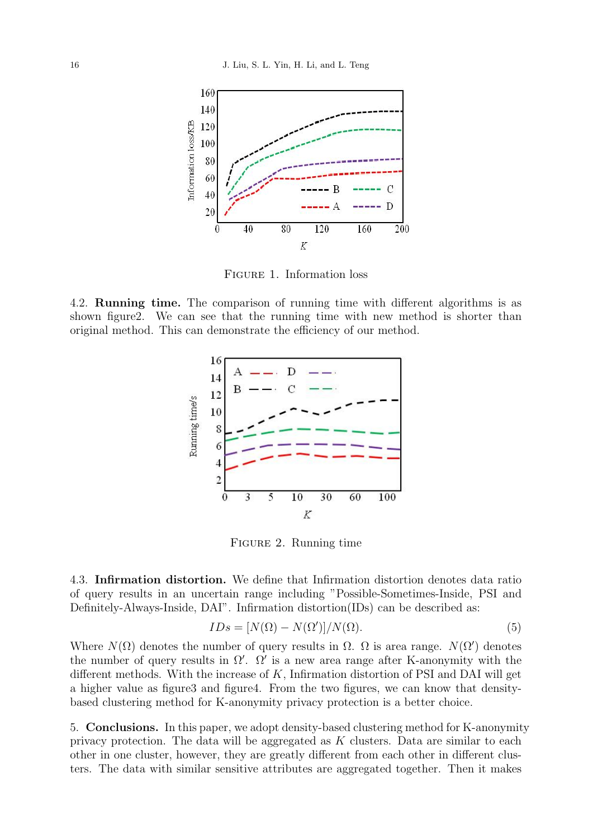

Figure 1. Information loss

4.2. Running time. The comparison of running time with different algorithms is as shown figure2. We can see that the running time with new method is shorter than original method. This can demonstrate the efficiency of our method.



Figure 2. Running time

4.3. Infirmation distortion. We define that Infirmation distortion denotes data ratio of query results in an uncertain range including "Possible-Sometimes-Inside, PSI and Definitely-Always-Inside, DAI". Infirmation distortion(IDs) can be described as:

$$
IDs = [N(\Omega) - N(\Omega')] / N(\Omega).
$$
\n(5)

Where  $N(\Omega)$  denotes the number of query results in  $\Omega$ .  $\Omega$  is area range.  $N(\Omega')$  denotes the number of query results in  $\Omega'$ .  $\Omega'$  is a new area range after K-anonymity with the different methods. With the increase of  $K$ , Infirmation distortion of PSI and DAI will get a higher value as figure3 and figure4. From the two figures, we can know that densitybased clustering method for K-anonymity privacy protection is a better choice.

5. Conclusions. In this paper, we adopt density-based clustering method for K-anonymity privacy protection. The data will be aggregated as  $K$  clusters. Data are similar to each other in one cluster, however, they are greatly different from each other in different clusters. The data with similar sensitive attributes are aggregated together. Then it makes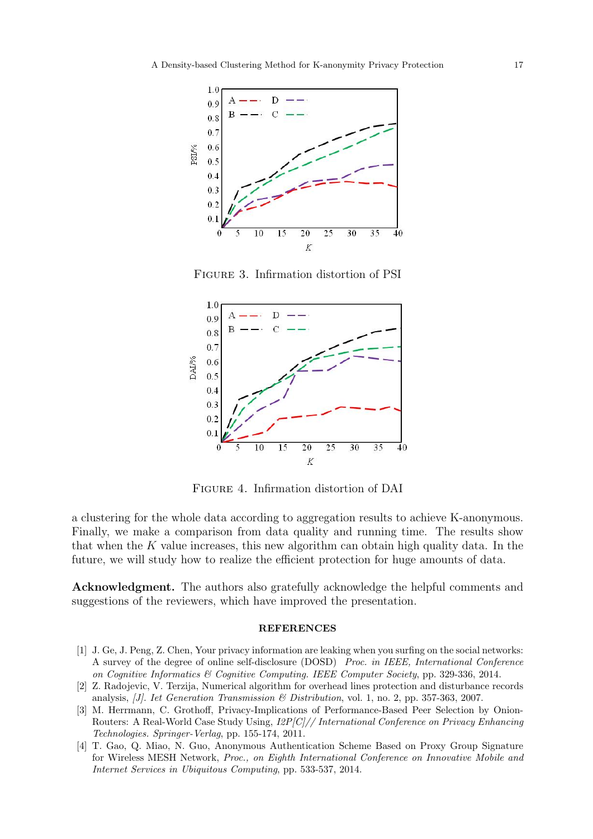

Figure 3. Infirmation distortion of PSI



Figure 4. Infirmation distortion of DAI

a clustering for the whole data according to aggregation results to achieve K-anonymous. Finally, we make a comparison from data quality and running time. The results show that when the  $K$  value increases, this new algorithm can obtain high quality data. In the future, we will study how to realize the efficient protection for huge amounts of data.

Acknowledgment. The authors also gratefully acknowledge the helpful comments and suggestions of the reviewers, which have improved the presentation.

## REFERENCES

- [1] J. Ge, J. Peng, Z. Chen, Your privacy information are leaking when you surfing on the social networks: A survey of the degree of online self-disclosure (DOSD) Proc. in IEEE, International Conference on Cognitive Informatics & Cognitive Computing. IEEE Computer Society, pp. 329-336, 2014.
- [2] Z. Radojevic, V. Terzija, Numerical algorithm for overhead lines protection and disturbance records analysis, *JJ. Iet Generation Transmission & Distribution*, vol. 1, no. 2, pp. 357-363, 2007.
- [3] M. Herrmann, C. Grothoff, Privacy-Implications of Performance-Based Peer Selection by Onion-Routers: A Real-World Case Study Using, I2P[C]// International Conference on Privacy Enhancing Technologies. Springer-Verlag, pp. 155-174, 2011.
- [4] T. Gao, Q. Miao, N. Guo, Anonymous Authentication Scheme Based on Proxy Group Signature for Wireless MESH Network, Proc., on Eighth International Conference on Innovative Mobile and Internet Services in Ubiquitous Computing, pp. 533-537, 2014.